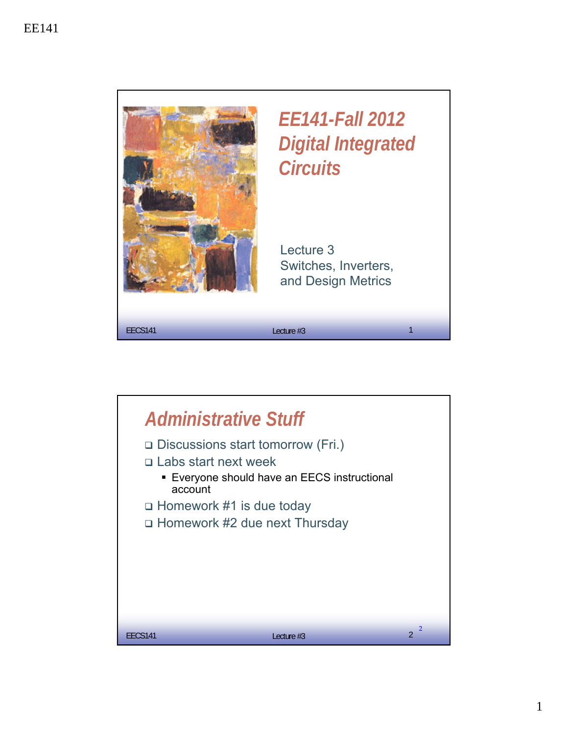

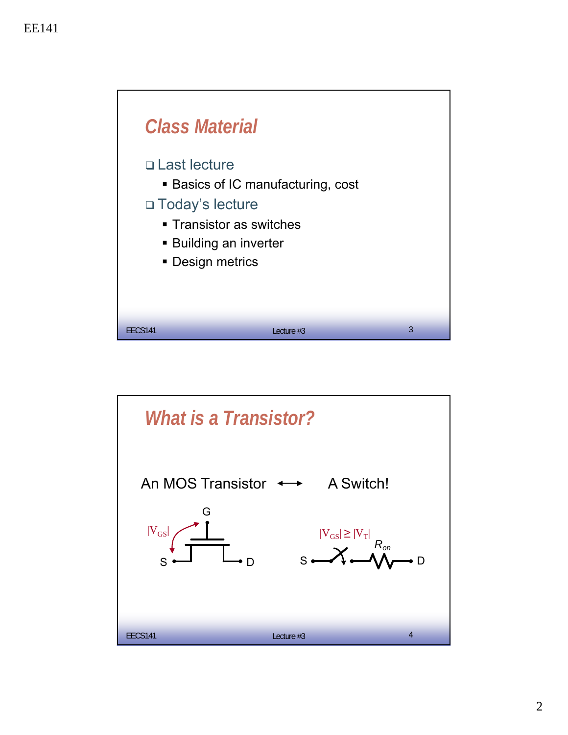

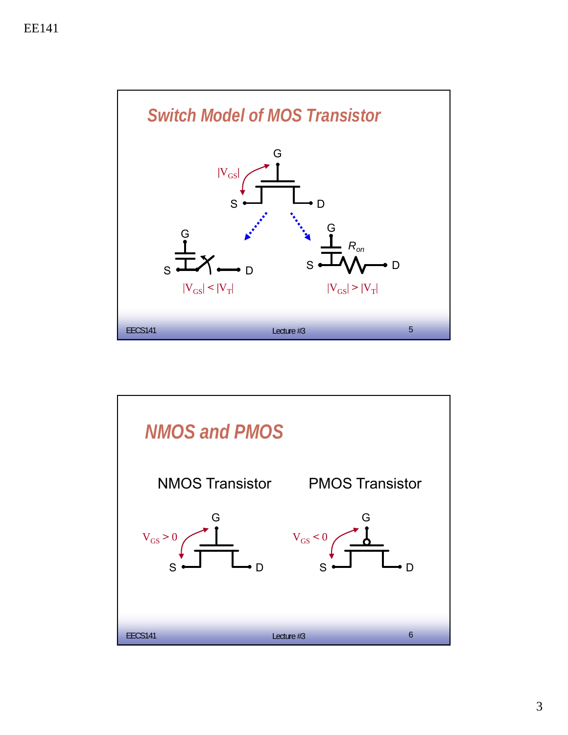

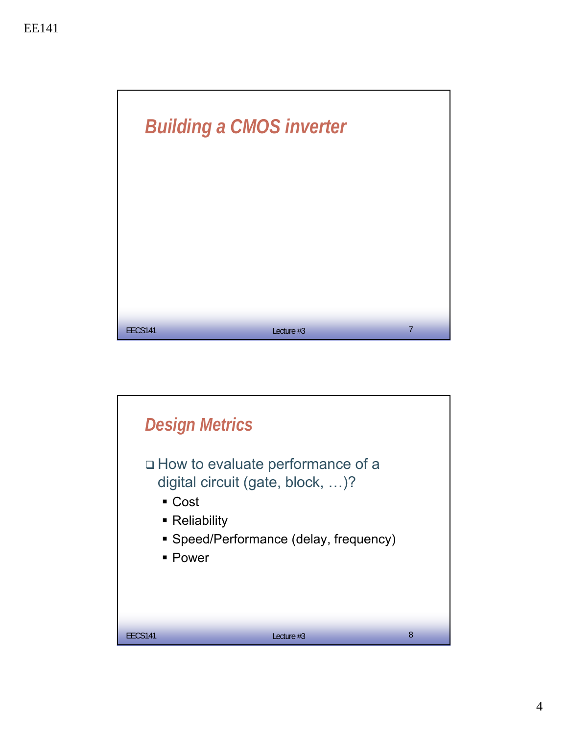

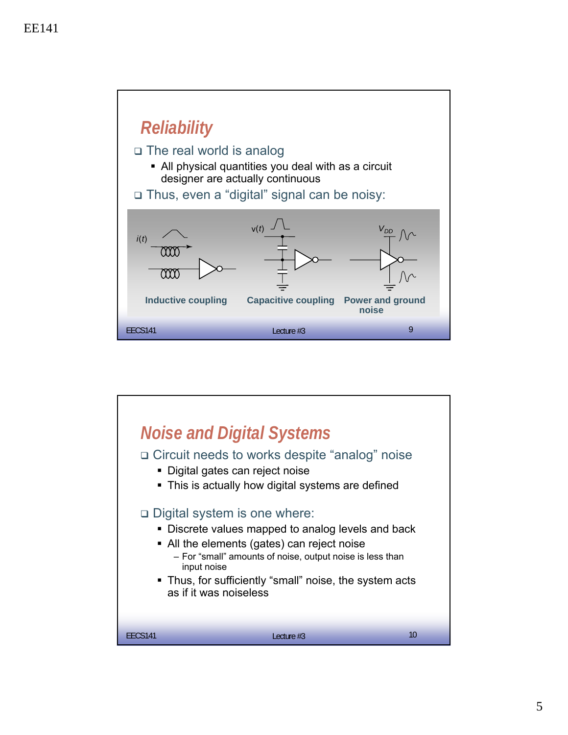

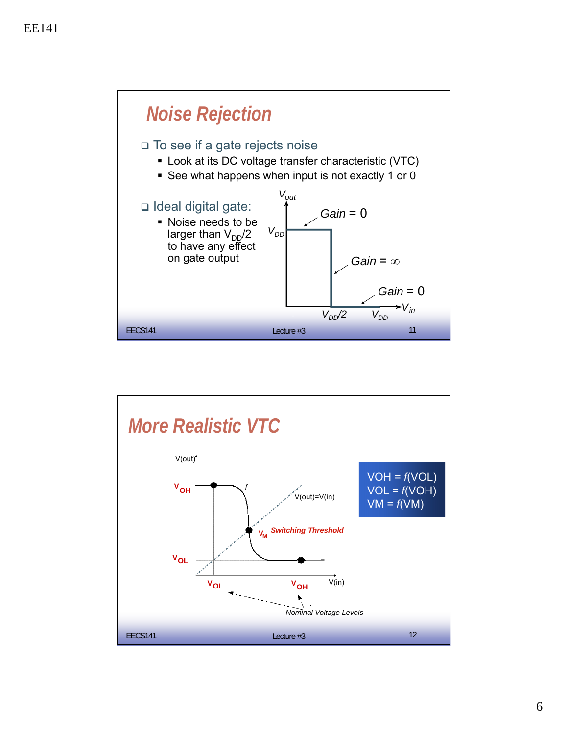

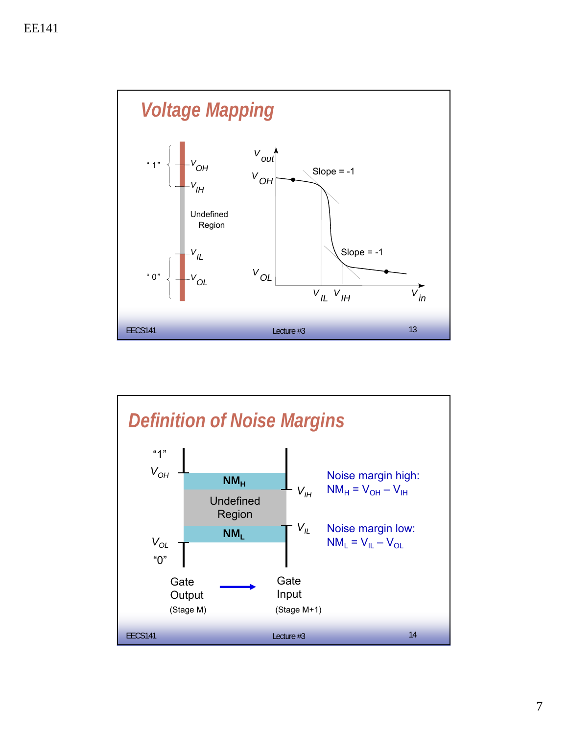

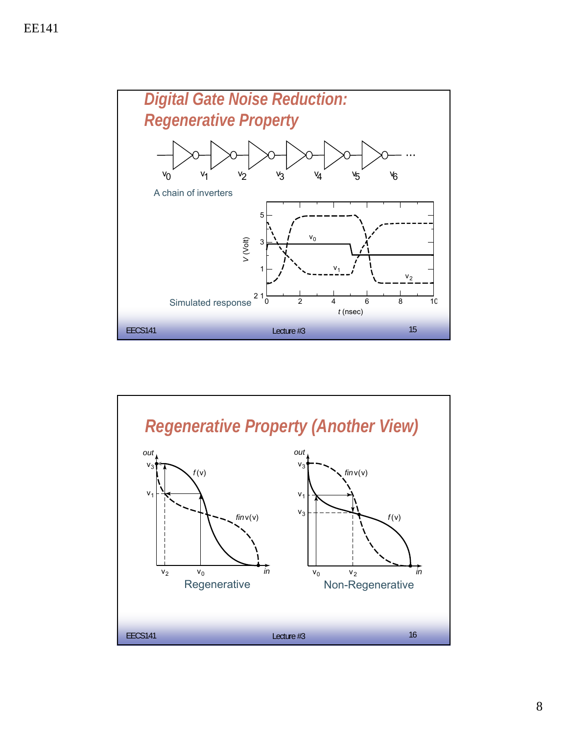

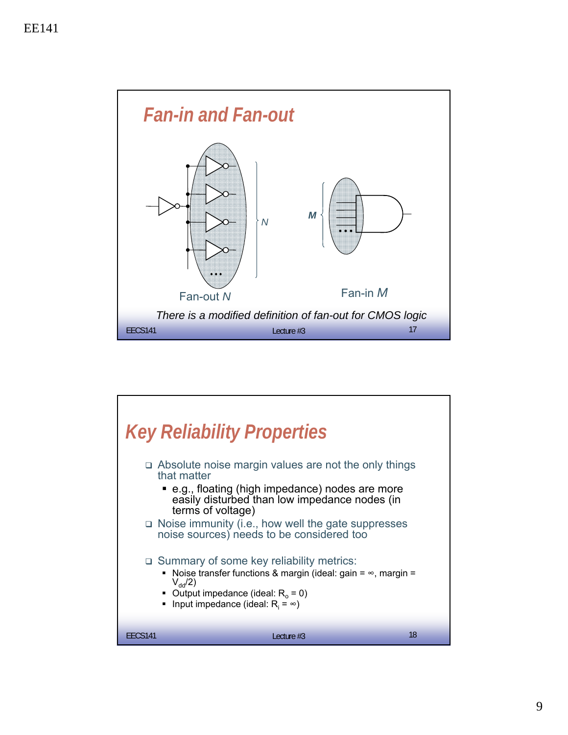

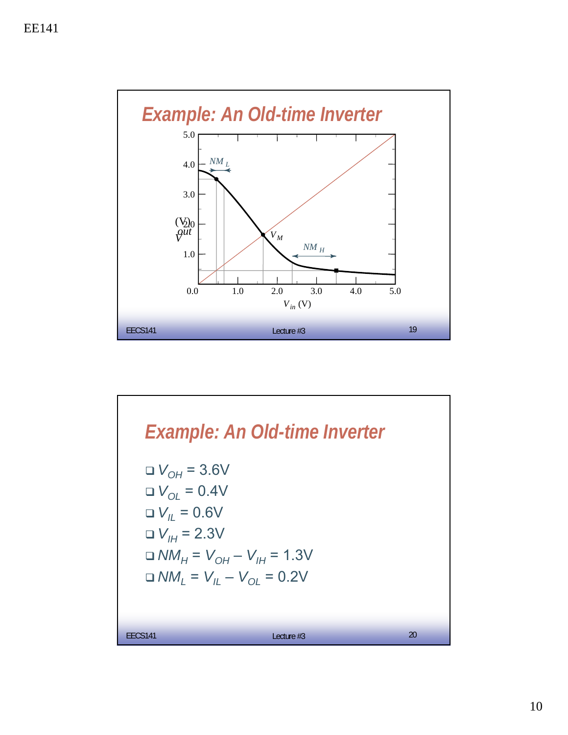

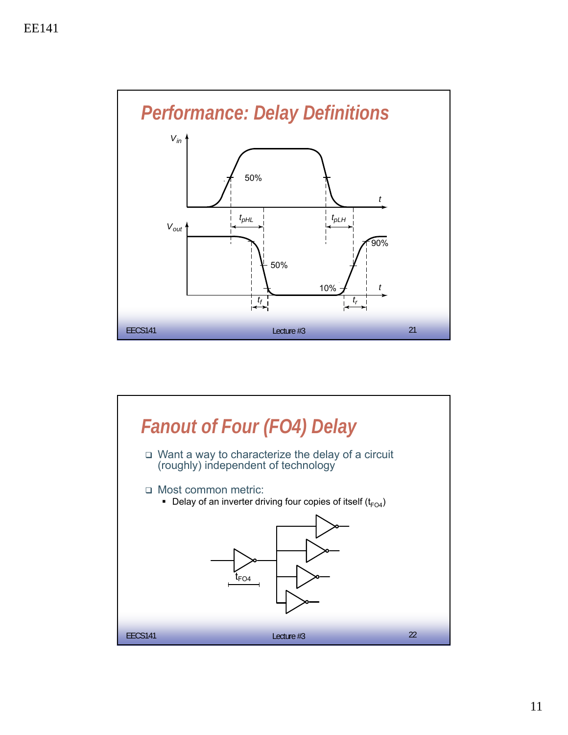

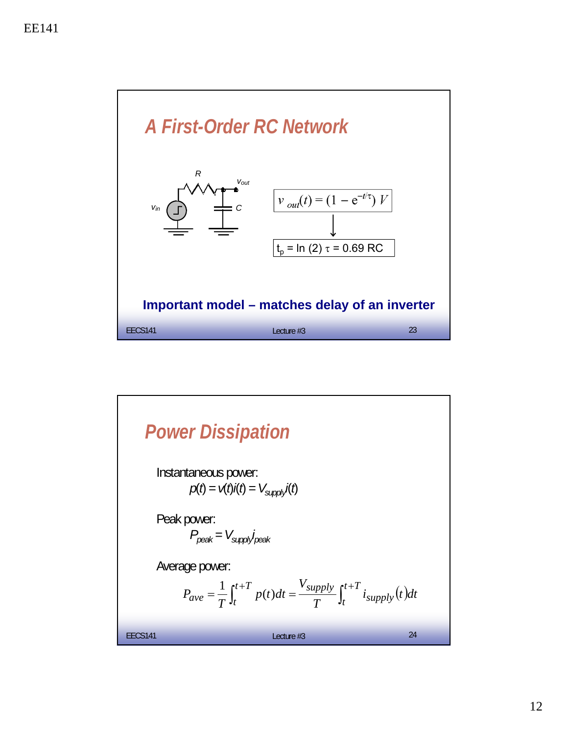

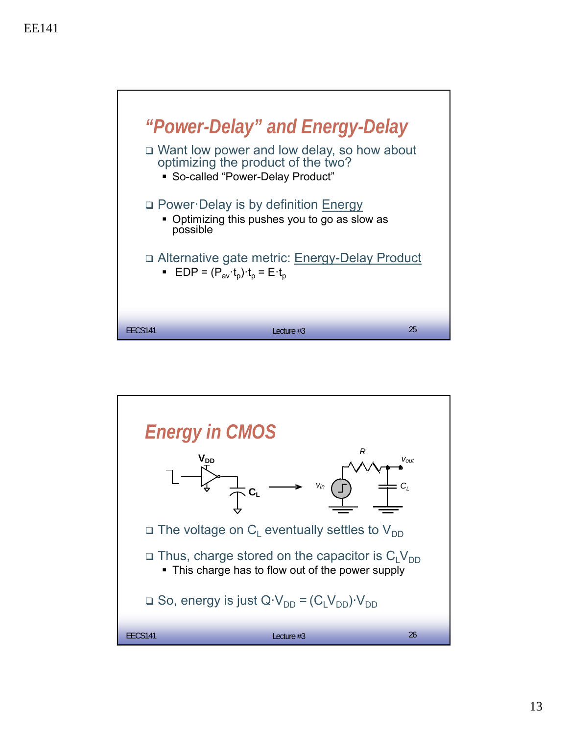

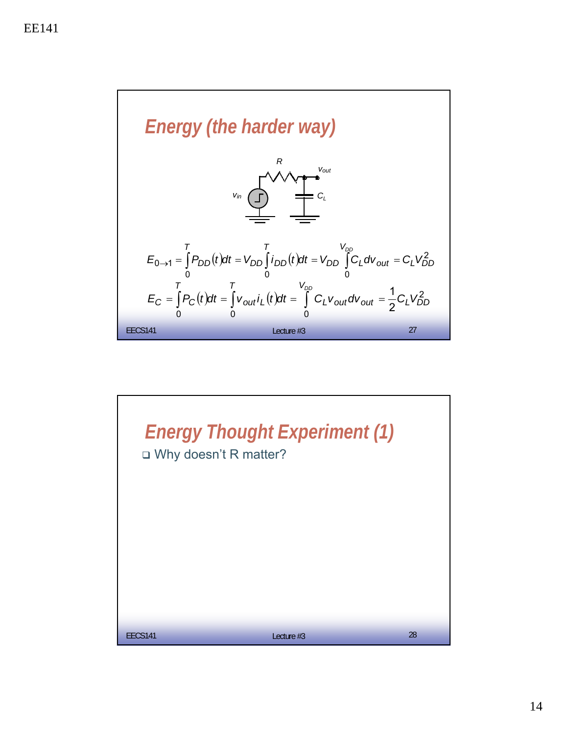

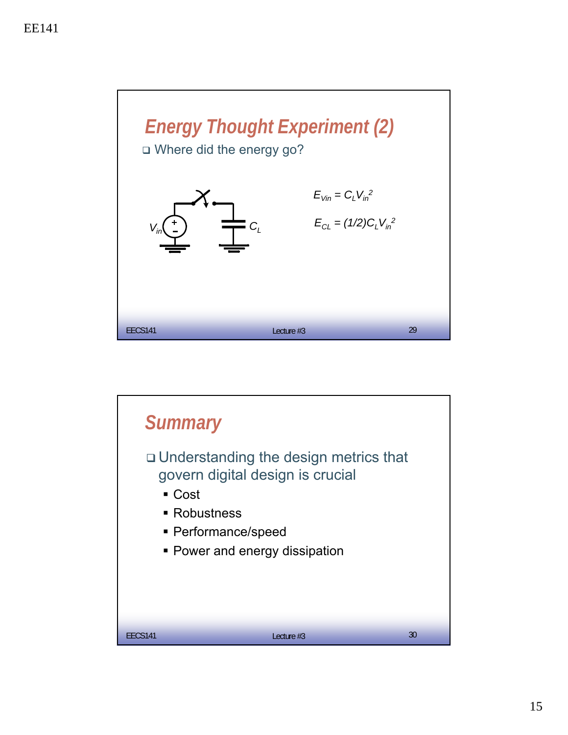